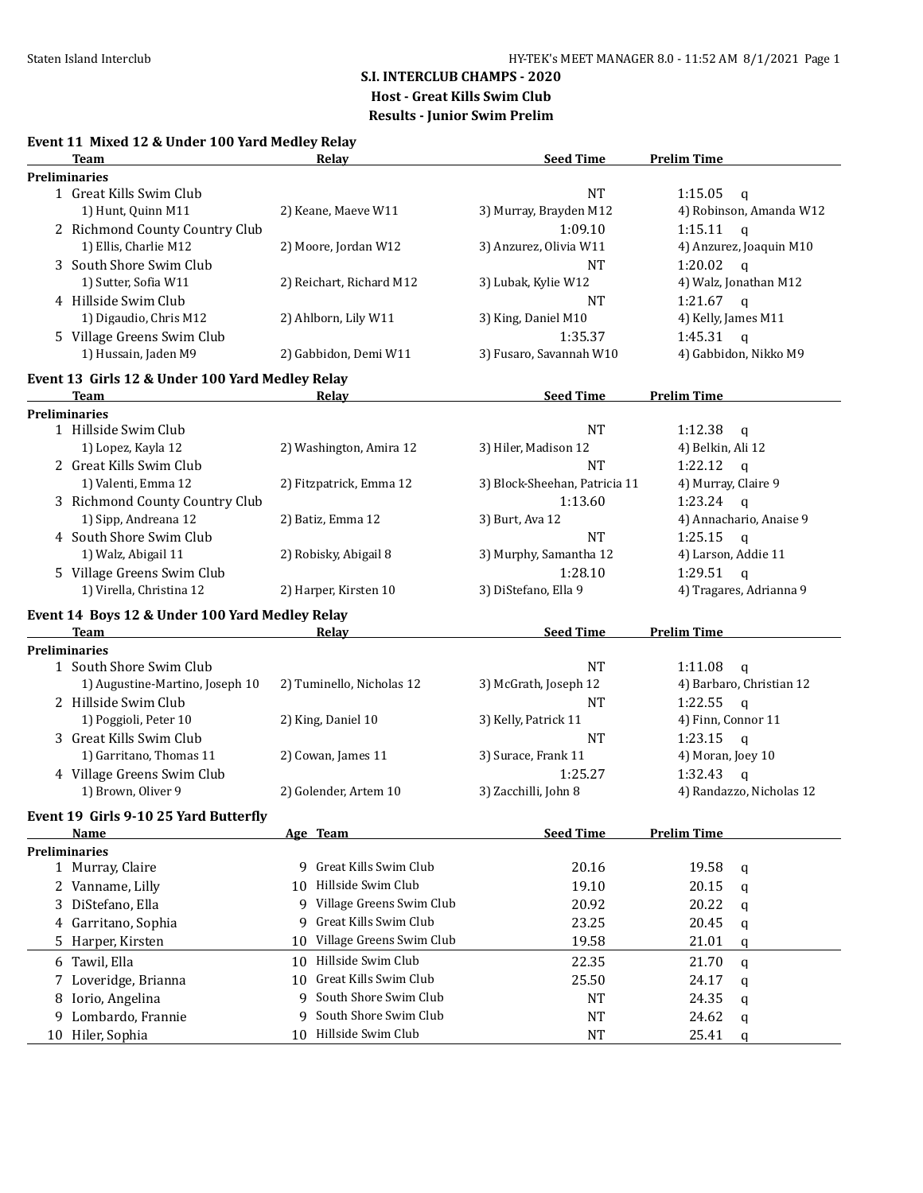## **S.I. INTERCLUB CHAMPS - 2020**

**Host - Great Kills Swim Club**

**Results - Junior Swim Prelim**

|  | Event 11 Mixed 12 & Under 100 Yard Medley Relay |  |  |  |  |
|--|-------------------------------------------------|--|--|--|--|
|--|-------------------------------------------------|--|--|--|--|

|   | Team                                            | <b>Relay</b>                   | <b>Seed Time</b>              | <b>Prelim Time</b>       |
|---|-------------------------------------------------|--------------------------------|-------------------------------|--------------------------|
|   | <b>Preliminaries</b>                            |                                |                               |                          |
|   | 1 Great Kills Swim Club                         |                                | <b>NT</b>                     | 1:15.05<br>$\mathbf q$   |
|   | 1) Hunt, Quinn M11                              | 2) Keane, Maeve W11            | 3) Murray, Brayden M12        | 4) Robinson, Amanda W12  |
|   | 2 Richmond County Country Club                  |                                | 1:09.10                       | 1:15.11<br>$\mathsf{q}$  |
|   | 1) Ellis, Charlie M12                           | 2) Moore, Jordan W12           | 3) Anzurez, Olivia W11        | 4) Anzurez, Joaquin M10  |
|   | 3 South Shore Swim Club                         |                                | <b>NT</b>                     | 1:20.02<br>$\mathbf{q}$  |
|   | 1) Sutter, Sofia W11                            | 2) Reichart, Richard M12       | 3) Lubak, Kylie W12           | 4) Walz, Jonathan M12    |
|   | 4 Hillside Swim Club                            |                                | <b>NT</b>                     | 1:21.67<br>$\mathbf{q}$  |
|   | 1) Digaudio, Chris M12                          | 2) Ahlborn, Lily W11           | 3) King, Daniel M10           | 4) Kelly, James M11      |
|   | 5 Village Greens Swim Club                      |                                | 1:35.37                       | 1:45.31<br>$\mathsf{q}$  |
|   | 1) Hussain, Jaden M9                            | 2) Gabbidon, Demi W11          | 3) Fusaro, Savannah W10       | 4) Gabbidon, Nikko M9    |
|   |                                                 |                                |                               |                          |
|   | Event 13 Girls 12 & Under 100 Yard Medley Relay |                                |                               |                          |
|   | Team                                            | Relay                          | <b>Seed Time</b>              | <b>Prelim Time</b>       |
|   | <b>Preliminaries</b>                            |                                |                               |                          |
|   | 1 Hillside Swim Club                            |                                | <b>NT</b>                     | 1:12.38<br>$\mathbf q$   |
|   | 1) Lopez, Kayla 12                              | 2) Washington, Amira 12        | 3) Hiler, Madison 12          | 4) Belkin, Ali 12        |
|   | 2 Great Kills Swim Club                         |                                | <b>NT</b>                     | 1:22.12<br>$\mathbf q$   |
|   | 1) Valenti, Emma 12                             | 2) Fitzpatrick, Emma 12        | 3) Block-Sheehan, Patricia 11 | 4) Murray, Claire 9      |
|   | 3 Richmond County Country Club                  |                                | 1:13.60                       | 1:23.24<br>$\mathsf{q}$  |
|   | 1) Sipp, Andreana 12                            | 2) Batiz, Emma 12              | 3) Burt, Ava 12               | 4) Annachario, Anaise 9  |
|   | 4 South Shore Swim Club                         |                                | <b>NT</b>                     | 1:25.15<br>$\mathbf q$   |
|   | 1) Walz, Abigail 11                             | 2) Robisky, Abigail 8          | 3) Murphy, Samantha 12        | 4) Larson, Addie 11      |
|   | 5 Village Greens Swim Club                      |                                | 1:28.10                       | 1:29.51<br>$\mathbf{q}$  |
|   | 1) Virella, Christina 12                        | 2) Harper, Kirsten 10          | 3) DiStefano, Ella 9          | 4) Tragares, Adrianna 9  |
|   |                                                 |                                |                               |                          |
|   | Event 14 Boys 12 & Under 100 Yard Medley Relay  |                                |                               |                          |
|   | <b>Team</b>                                     | Relay                          | <b>Seed Time</b>              | <b>Prelim Time</b>       |
|   | <b>Preliminaries</b>                            |                                |                               |                          |
|   | 1 South Shore Swim Club                         |                                | <b>NT</b>                     | 1:11.08<br>$\mathbf{q}$  |
|   | 1) Augustine-Martino, Joseph 10                 | 2) Tuminello, Nicholas 12      | 3) McGrath, Joseph 12         | 4) Barbaro, Christian 12 |
|   | 2 Hillside Swim Club                            |                                | <b>NT</b>                     | 1:22.55<br>$\mathsf{q}$  |
|   | 1) Poggioli, Peter 10                           | 2) King, Daniel 10             | 3) Kelly, Patrick 11          | 4) Finn, Connor 11       |
|   | 3 Great Kills Swim Club                         |                                | <b>NT</b>                     | 1:23.15<br>$\mathsf{q}$  |
|   | 1) Garritano, Thomas 11                         | 2) Cowan, James 11             | 3) Surace, Frank 11           | 4) Moran, Joey 10        |
|   | 4 Village Greens Swim Club                      |                                | 1:25.27                       | 1:32.43<br>$\mathsf{q}$  |
|   | 1) Brown, Oliver 9                              | 2) Golender, Artem 10          | 3) Zacchilli, John 8          | 4) Randazzo, Nicholas 12 |
|   | Event 19 Girls 9-10 25 Yard Butterfly           |                                |                               |                          |
|   | <u>Name</u>                                     | Age Team                       | <b>Seed Time</b>              | <b>Prelim Time</b>       |
|   | Preliminaries                                   |                                |                               |                          |
|   | 1 Murray, Claire                                | Great Kills Swim Club<br>q     | 20.16                         | 19.58<br>q               |
|   | 2 Vanname, Lilly                                | Hillside Swim Club<br>10       | 19.10                         | 20.15                    |
|   |                                                 | Village Greens Swim Club<br>9  |                               | q                        |
| 3 | DiStefano, Ella                                 |                                | 20.92                         | 20.22<br>q               |
| 4 | Garritano, Sophia                               | Great Kills Swim Club<br>9     | 23.25                         | 20.45<br>q               |
| 5 | Harper, Kirsten                                 | Village Greens Swim Club<br>10 | 19.58                         | 21.01<br>q               |
|   | 6 Tawil, Ella                                   | Hillside Swim Club<br>10       | 22.35                         | 21.70<br>q               |
| 7 | Loveridge, Brianna                              | Great Kills Swim Club<br>10    | 25.50                         | 24.17<br>q               |
| 8 | Iorio, Angelina                                 | South Shore Swim Club<br>9     | NT                            | 24.35<br>q               |
| 9 | Lombardo, Frannie                               | South Shore Swim Club<br>9     | <b>NT</b>                     | 24.62<br>q               |
|   | 10 Hiler, Sophia                                | 10 Hillside Swim Club          | <b>NT</b>                     | 25.41<br>q               |
|   |                                                 |                                |                               |                          |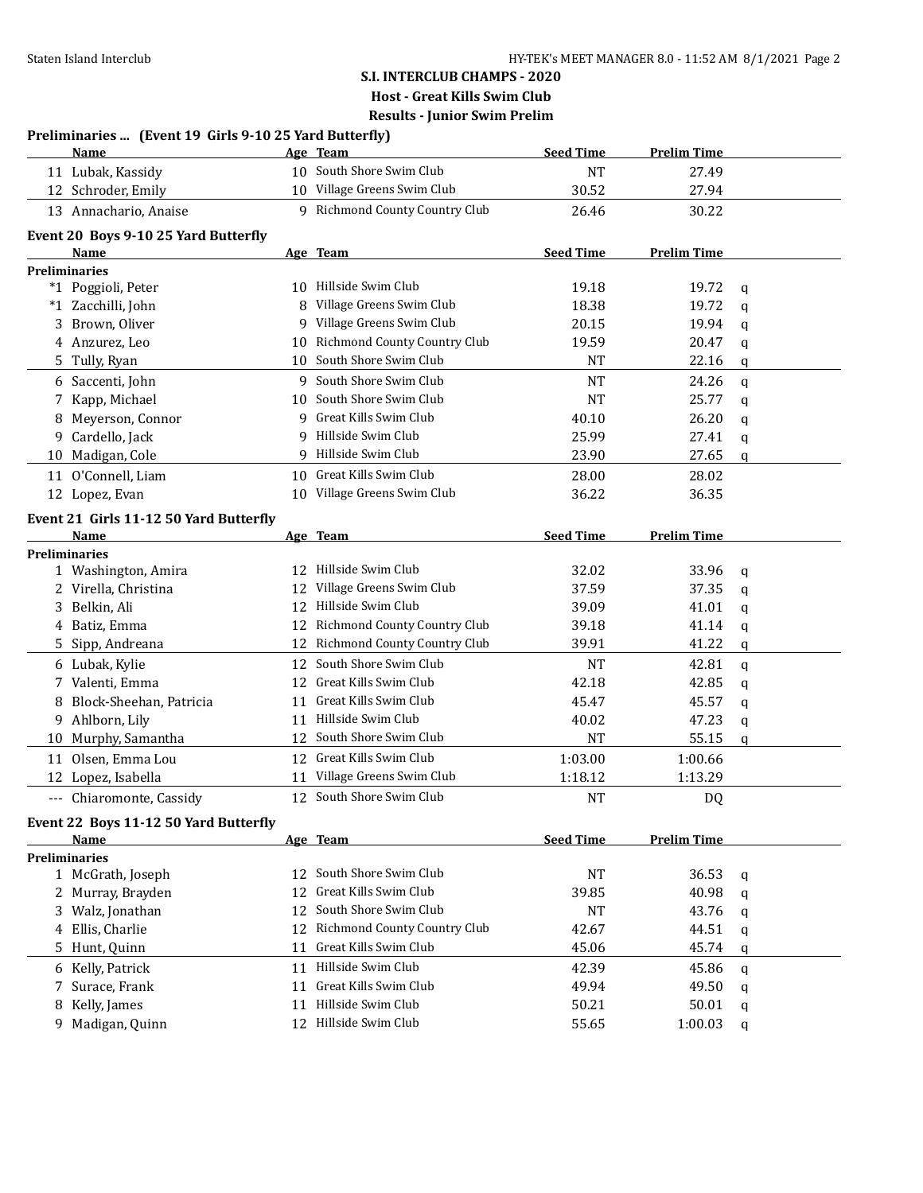# **S.I. INTERCLUB CHAMPS - 2020 Host - Great Kills Swim Club**

**Results - Junior Swim Prelim Preliminaries ... (Event 19 Girls 9-10 25 Yard Butterfly)**

|          | <b>Name</b>                                    |                 | Age Team                        | <b>Seed Time</b> | <b>Prelim Time</b> |              |
|----------|------------------------------------------------|-----------------|---------------------------------|------------------|--------------------|--------------|
|          | 11 Lubak, Kassidy                              |                 | 10 South Shore Swim Club        | <b>NT</b>        | 27.49              |              |
|          | 12 Schroder, Emily                             |                 | 10 Village Greens Swim Club     | 30.52            | 27.94              |              |
|          | 13 Annachario, Anaise                          |                 | 9 Richmond County Country Club  | 26.46            | 30.22              |              |
|          | Event 20 Boys 9-10 25 Yard Butterfly           |                 |                                 |                  |                    |              |
|          | Name                                           |                 | Age Team                        | <b>Seed Time</b> | <b>Prelim Time</b> |              |
|          | <b>Preliminaries</b>                           |                 |                                 |                  |                    |              |
|          | *1 Poggioli, Peter                             |                 | 10 Hillside Swim Club           | 19.18            | 19.72              | q            |
|          | *1 Zacchilli, John                             | 8               | Village Greens Swim Club        | 18.38            | 19.72              | $\mathbf q$  |
|          | 3 Brown, Oliver                                | 9               | Village Greens Swim Club        | 20.15            | 19.94              | q            |
|          | 4 Anzurez, Leo                                 |                 | 10 Richmond County Country Club | 19.59            | 20.47              | q            |
|          | 5 Tully, Ryan                                  | 10              | South Shore Swim Club           | NT               | 22.16              | q            |
|          | 6 Saccenti, John                               |                 | 9 South Shore Swim Club         | <b>NT</b>        | 24.26              | $\mathsf{q}$ |
|          | 7 Kapp, Michael                                | 10              | South Shore Swim Club           | <b>NT</b>        | 25.77              | q            |
| 8        | Meyerson, Connor                               | 9               | Great Kills Swim Club           | 40.10            | 26.20              | q            |
| 9.       | Cardello, Jack                                 | q               | Hillside Swim Club              | 25.99            | 27.41              | q            |
| 10       | Madigan, Cole                                  |                 | 9 Hillside Swim Club            | 23.90            | 27.65              | q            |
| 11       | O'Connell, Liam                                | 10 <sup>1</sup> | Great Kills Swim Club           | 28.00            | 28.02              |              |
|          | 12 Lopez, Evan                                 |                 | 10 Village Greens Swim Club     | 36.22            | 36.35              |              |
|          |                                                |                 |                                 |                  |                    |              |
|          | Event 21 Girls 11-12 50 Yard Butterfly<br>Name |                 | Age Team                        | <b>Seed Time</b> | <b>Prelim Time</b> |              |
|          | Preliminaries                                  |                 |                                 |                  |                    |              |
|          | 1 Washington, Amira                            |                 | 12 Hillside Swim Club           | 32.02            | 33.96              | q            |
|          | 2 Virella, Christina                           | 12              | Village Greens Swim Club        | 37.59            | 37.35              | q            |
|          | 3 Belkin, Ali                                  | 12              | Hillside Swim Club              | 39.09            | 41.01              | q            |
|          | 4 Batiz, Emma                                  |                 | 12 Richmond County Country Club | 39.18            | 41.14              | q            |
|          | 5 Sipp, Andreana                               |                 | 12 Richmond County Country Club | 39.91            | 41.22              | q            |
|          | 6 Lubak, Kylie                                 | 12              | South Shore Swim Club           | <b>NT</b>        | 42.81              | $\mathbf q$  |
| 7        | Valenti, Emma                                  | 12              | Great Kills Swim Club           | 42.18            | 42.85              | q            |
| 8        | Block-Sheehan, Patricia                        | 11              | Great Kills Swim Club           | 45.47            | 45.57              | q            |
| 9        | Ahlborn, Lily                                  |                 | 11 Hillside Swim Club           | 40.02            | 47.23              | q            |
|          | 10 Murphy, Samantha                            | 12              | South Shore Swim Club           | <b>NT</b>        | 55.15              | q            |
| 11       | Olsen, Emma Lou                                | 12              | Great Kills Swim Club           | 1:03.00          | 1:00.66            |              |
|          | 12 Lopez, Isabella                             | 11              | Village Greens Swim Club        | 1:18.12          | 1:13.29            |              |
| $\cdots$ | Chiaromonte, Cassidy                           |                 | 12 South Shore Swim Club        | <b>NT</b>        | DQ                 |              |
|          | Event 22 Boys 11-12 50 Yard Butterfly          |                 |                                 |                  |                    |              |
|          | Name                                           |                 | Age Team                        | <b>Seed Time</b> | <b>Prelim Time</b> |              |
|          | <b>Preliminaries</b>                           |                 |                                 |                  |                    |              |
|          | 1 McGrath, Joseph                              | 12              | South Shore Swim Club           | <b>NT</b>        | 36.53              | q            |
|          | 2 Murray, Brayden                              | 12              | Great Kills Swim Club           | 39.85            | 40.98              | q            |
|          | 3 Walz, Jonathan                               | 12              | South Shore Swim Club           | <b>NT</b>        | 43.76              | q            |
|          | 4 Ellis, Charlie                               | 12              | Richmond County Country Club    | 42.67            | 44.51              | q            |
|          | 5 Hunt, Quinn                                  | 11              | Great Kills Swim Club           | 45.06            | 45.74              | q            |
|          | 6 Kelly, Patrick                               |                 | 11 Hillside Swim Club           | 42.39            | 45.86              | q            |
|          | 7 Surace, Frank                                | 11              | Great Kills Swim Club           | 49.94            | 49.50              | q            |
| 8        | Kelly, James                                   | 11              | Hillside Swim Club              | 50.21            | 50.01              | q            |
|          | 9 Madigan, Quinn                               |                 | 12 Hillside Swim Club           | 55.65            | 1:00.03            | q            |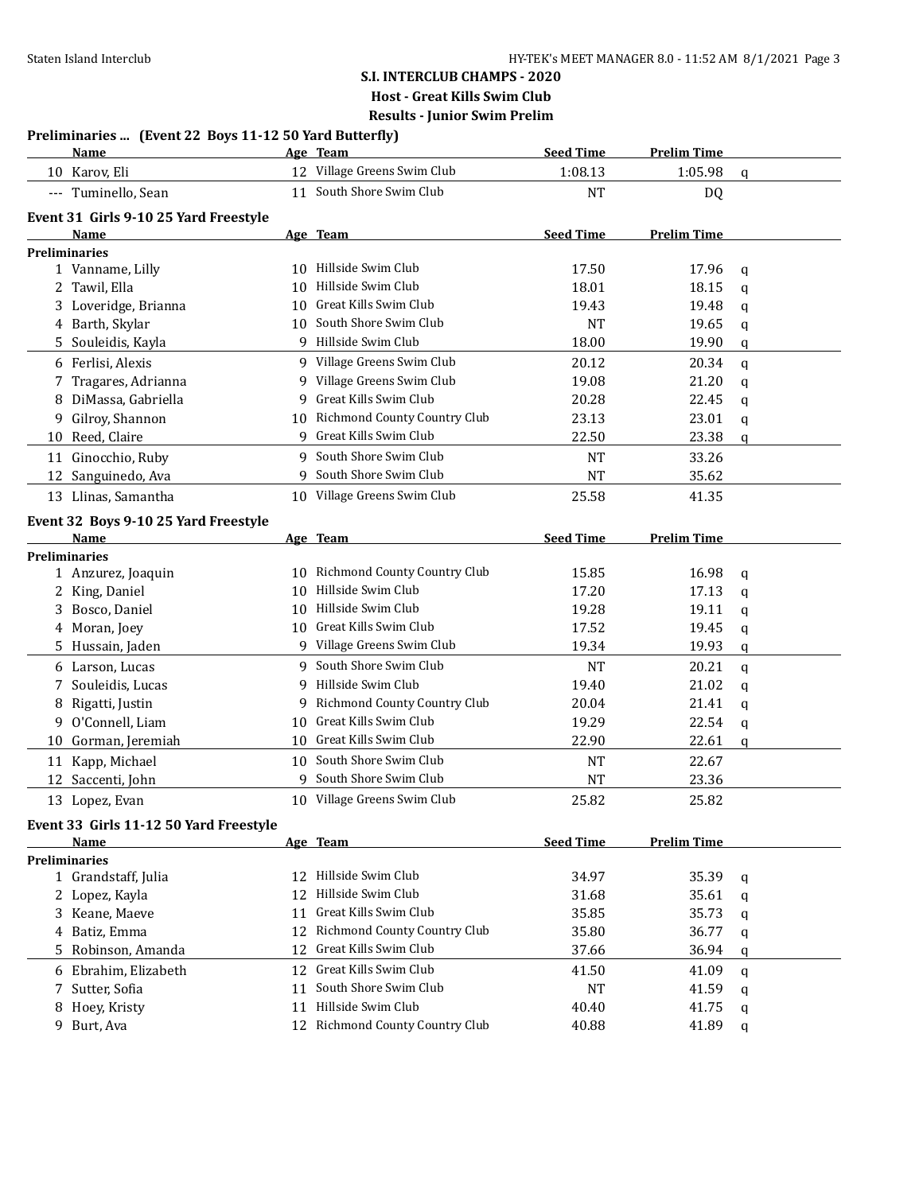### **S.I. INTERCLUB CHAMPS - 2020 Host - Great Kills Swim Club**

**Results - Junior Swim Prelim**

| Preliminaries  (Event 22 Boys 11-12 50 Yard Butterfly) |  |  |  |  |
|--------------------------------------------------------|--|--|--|--|
|--------------------------------------------------------|--|--|--|--|

|    | <b>Name</b>                            |    | Age Team                            | <b>Seed Time</b> | <b>Prelim Time</b> |             |
|----|----------------------------------------|----|-------------------------------------|------------------|--------------------|-------------|
|    | 10 Karov, Eli                          |    | 12 Village Greens Swim Club         | 1:08.13          | 1:05.98            | $\mathbf q$ |
|    | --- Tuminello, Sean                    | 11 | South Shore Swim Club               | <b>NT</b>        | <b>DQ</b>          |             |
|    | Event 31 Girls 9-10 25 Yard Freestyle  |    |                                     |                  |                    |             |
|    | <b>Name</b>                            |    | Age Team                            | <b>Seed Time</b> | <b>Prelim Time</b> |             |
|    | <b>Preliminaries</b>                   |    |                                     |                  |                    |             |
|    | 1 Vanname, Lilly                       |    | 10 Hillside Swim Club               | 17.50            | 17.96              | q           |
|    | 2 Tawil, Ella                          | 10 | Hillside Swim Club                  | 18.01            | 18.15              | q           |
|    | 3 Loveridge, Brianna                   | 10 | Great Kills Swim Club               | 19.43            | 19.48              | q           |
|    | 4 Barth, Skylar                        | 10 | South Shore Swim Club               | <b>NT</b>        | 19.65              | q           |
| 5. | Souleidis, Kayla                       |    | 9 Hillside Swim Club                | 18.00            | 19.90              | q           |
|    | 6 Ferlisi, Alexis                      |    | 9 Village Greens Swim Club          | 20.12            | 20.34              | $\mathbf q$ |
| 7  | Tragares, Adrianna                     |    | 9 Village Greens Swim Club          | 19.08            | 21.20              | q           |
| 8  | DiMassa, Gabriella                     | 9  | Great Kills Swim Club               | 20.28            | 22.45              | q           |
| 9  | Gilroy, Shannon                        |    | 10 Richmond County Country Club     | 23.13            | 23.01              | q           |
|    | 10 Reed, Claire                        |    | 9 Great Kills Swim Club             | 22.50            | 23.38              | $\mathbf q$ |
|    | 11 Ginocchio, Ruby                     | 9  | South Shore Swim Club               | <b>NT</b>        | 33.26              |             |
| 12 | Sanguinedo, Ava                        |    | South Shore Swim Club               | <b>NT</b>        | 35.62              |             |
|    | 13 Llinas, Samantha                    |    | 10 Village Greens Swim Club         | 25.58            | 41.35              |             |
|    | Event 32 Boys 9-10 25 Yard Freestyle   |    |                                     |                  |                    |             |
|    | Name                                   |    | Age Team                            | <b>Seed Time</b> | <b>Prelim Time</b> |             |
|    | <b>Preliminaries</b>                   |    |                                     |                  |                    |             |
|    | 1 Anzurez, Joaquin                     |    | 10 Richmond County Country Club     | 15.85            | 16.98              | q           |
|    | King, Daniel                           | 10 | Hillside Swim Club                  | 17.20            | 17.13              | q           |
| 3  | Bosco, Daniel                          | 10 | Hillside Swim Club                  | 19.28            | 19.11              | q           |
|    | 4 Moran, Joey                          | 10 | Great Kills Swim Club               | 17.52            | 19.45              | q           |
|    | 5 Hussain, Jaden                       |    | Village Greens Swim Club            | 19.34            | 19.93              | q           |
|    | 6 Larson, Lucas                        |    | 9 South Shore Swim Club             | <b>NT</b>        | 20.21              | q           |
| 7  | Souleidis, Lucas                       |    | 9 Hillside Swim Club                | 19.40            | 21.02              | q           |
| 8  | Rigatti, Justin                        | 9. | Richmond County Country Club        | 20.04            | 21.41              | q           |
| 9  | O'Connell, Liam                        | 10 | Great Kills Swim Club               | 19.29            | 22.54              | q           |
| 10 | Gorman, Jeremiah                       | 10 | Great Kills Swim Club               | 22.90            | 22.61              | q           |
|    | 11 Kapp, Michael                       | 10 | South Shore Swim Club               | <b>NT</b>        | 22.67              |             |
|    | 12 Saccenti, John                      |    | 9 South Shore Swim Club             | <b>NT</b>        | 23.36              |             |
|    | 13 Lopez, Evan                         |    | 10 Village Greens Swim Club         | 25.82            | 25.82              |             |
|    | Event 33 Girls 11-12 50 Yard Freestyle |    |                                     |                  |                    |             |
|    | Name                                   |    | Age Team                            | <b>Seed Time</b> | <b>Prelim Time</b> |             |
|    | <b>Preliminaries</b>                   |    |                                     |                  |                    |             |
|    | 1 Grandstaff, Julia                    |    | 12 Hillside Swim Club               | 34.97            | 35.39              | q           |
|    | 2 Lopez, Kayla                         | 12 | Hillside Swim Club                  | 31.68            | 35.61              | q           |
|    | 3 Keane, Maeve                         | 11 | Great Kills Swim Club               | 35.85            | 35.73              | q           |
|    | 4 Batiz, Emma                          | 12 | <b>Richmond County Country Club</b> | 35.80            | 36.77              | q           |
|    | 5 Robinson, Amanda                     | 12 | Great Kills Swim Club               | 37.66            | 36.94              | q           |
|    | 6 Ebrahim, Elizabeth                   | 12 | Great Kills Swim Club               | 41.50            | 41.09              | q           |
| 7  | Sutter, Sofia                          | 11 | South Shore Swim Club               | <b>NT</b>        | 41.59              | q           |
|    | Hoey, Kristy                           | 11 | Hillside Swim Club                  | 40.40            | 41.75              | q           |
|    | 9 Burt, Ava                            |    | 12 Richmond County Country Club     | 40.88            | 41.89              | $\mathbf q$ |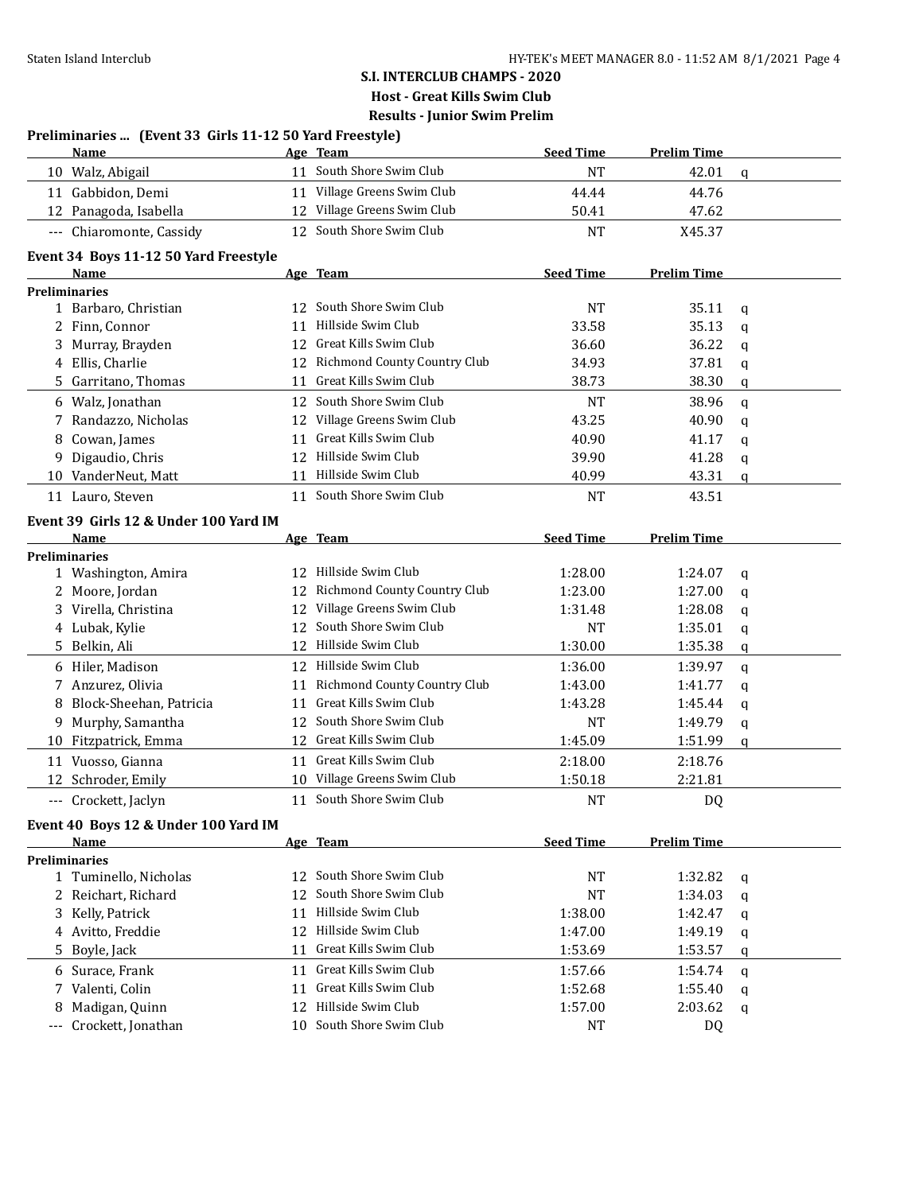|   | Preliminaries  (Event 33 Girls 11-12 50 Yard Freestyle)<br><b>Name</b> |    | Age Team                        | <b>Seed Time</b> | <b>Prelim Time</b> |   |
|---|------------------------------------------------------------------------|----|---------------------------------|------------------|--------------------|---|
|   | 10 Walz, Abigail                                                       |    | 11 South Shore Swim Club        | <b>NT</b>        | 42.01              | q |
|   | 11 Gabbidon, Demi                                                      |    | 11 Village Greens Swim Club     | 44.44            | 44.76              |   |
|   | 12 Panagoda, Isabella                                                  |    | 12 Village Greens Swim Club     | 50.41            | 47.62              |   |
|   |                                                                        |    | 12 South Shore Swim Club        |                  |                    |   |
|   | --- Chiaromonte, Cassidy                                               |    |                                 | <b>NT</b>        | X45.37             |   |
|   | Event 34 Boys 11-12 50 Yard Freestyle                                  |    |                                 |                  |                    |   |
|   | Name                                                                   |    | Age Team                        | <b>Seed Time</b> | <b>Prelim Time</b> |   |
|   | <b>Preliminaries</b>                                                   |    |                                 |                  |                    |   |
|   | 1 Barbaro, Christian                                                   | 12 | South Shore Swim Club           | <b>NT</b>        | 35.11              | q |
|   | 2 Finn, Connor                                                         | 11 | Hillside Swim Club              | 33.58            | 35.13              | q |
|   | Murray, Brayden                                                        | 12 | Great Kills Swim Club           | 36.60            | 36.22              | q |
|   | 4 Ellis, Charlie                                                       | 12 | Richmond County Country Club    | 34.93            | 37.81              | q |
|   | 5 Garritano, Thomas                                                    |    | 11 Great Kills Swim Club        | 38.73            | 38.30              | q |
|   | 6 Walz, Jonathan                                                       | 12 | South Shore Swim Club           | <b>NT</b>        | 38.96              | q |
| 7 | Randazzo, Nicholas                                                     | 12 | Village Greens Swim Club        | 43.25            | 40.90              | q |
| 8 | Cowan, James                                                           | 11 | Great Kills Swim Club           | 40.90            | 41.17              | q |
| 9 | Digaudio, Chris                                                        | 12 | Hillside Swim Club              | 39.90            | 41.28              | q |
|   | 10 VanderNeut, Matt                                                    | 11 | Hillside Swim Club              | 40.99            | 43.31              | q |
|   | 11 Lauro, Steven                                                       |    | 11 South Shore Swim Club        | <b>NT</b>        | 43.51              |   |
|   | Event 39 Girls 12 & Under 100 Yard IM                                  |    |                                 |                  |                    |   |
|   | Name                                                                   |    | Age Team                        | <b>Seed Time</b> | <b>Prelim Time</b> |   |
|   | <b>Preliminaries</b>                                                   |    |                                 |                  |                    |   |
|   | 1 Washington, Amira                                                    |    | 12 Hillside Swim Club           | 1:28.00          | 1:24.07            | q |
|   | 2 Moore, Jordan                                                        |    | 12 Richmond County Country Club | 1:23.00          | 1:27.00            | q |
|   | 3 Virella, Christina                                                   |    | 12 Village Greens Swim Club     | 1:31.48          | 1:28.08            | q |
|   | 4 Lubak, Kylie                                                         |    | 12 South Shore Swim Club        | <b>NT</b>        | 1:35.01            | q |
|   | 5 Belkin, Ali                                                          |    | 12 Hillside Swim Club           | 1:30.00          | 1:35.38            | q |
|   | 6 Hiler, Madison                                                       |    | 12 Hillside Swim Club           | 1:36.00          | 1:39.97            | q |
|   | 7 Anzurez, Olivia                                                      | 11 | Richmond County Country Club    | 1:43.00          | 1:41.77            | q |
|   | 8 Block-Sheehan, Patricia                                              | 11 | Great Kills Swim Club           | 1:43.28          | 1:45.44            | q |
|   | 9 Murphy, Samantha                                                     | 12 | South Shore Swim Club           | <b>NT</b>        | 1:49.79            | q |
|   | 10 Fitzpatrick, Emma                                                   |    | 12 Great Kills Swim Club        | 1:45.09          | 1:51.99            | q |
|   | 11 Vuosso, Gianna                                                      |    | 11 Great Kills Swim Club        | 2:18.00          | 2:18.76            |   |
|   | 12 Schroder, Emily                                                     |    | 10 Village Greens Swim Club     |                  | 2:21.81            |   |
|   |                                                                        |    |                                 | 1:50.18          |                    |   |
|   | Crockett, Jaclyn                                                       |    | 11 South Shore Swim Club        | $\rm{NT}$        | DQ                 |   |
|   | Event 40 Boys 12 & Under 100 Yard IM                                   |    |                                 |                  |                    |   |
|   | Name                                                                   |    | Age Team                        | <b>Seed Time</b> | <b>Prelim Time</b> |   |
|   | <b>Preliminaries</b>                                                   |    |                                 |                  |                    |   |
|   | 1 Tuminello, Nicholas                                                  |    | 12 South Shore Swim Club        | NT               | 1:32.82            | q |
|   | 2 Reichart, Richard                                                    | 12 | South Shore Swim Club           | <b>NT</b>        | 1:34.03            | q |
|   | 3 Kelly, Patrick                                                       | 11 | Hillside Swim Club              | 1:38.00          | 1:42.47            | q |
|   | 4 Avitto, Freddie                                                      | 12 | Hillside Swim Club              | 1:47.00          | 1:49.19            | q |
|   | 5 Boyle, Jack                                                          | 11 | Great Kills Swim Club           | 1:53.69          | 1:53.57            | q |
|   | 6 Surace, Frank                                                        | 11 | Great Kills Swim Club           | 1:57.66          | 1:54.74            | q |
|   | 7 Valenti, Colin                                                       | 11 | Great Kills Swim Club           | 1:52.68          | 1:55.40            | q |
| 8 | Madigan, Quinn                                                         |    | 12 Hillside Swim Club           | 1:57.00          | 2:03.62            | q |
|   | Crockett, Jonathan                                                     |    | 10 South Shore Swim Club        | NT               | DQ                 |   |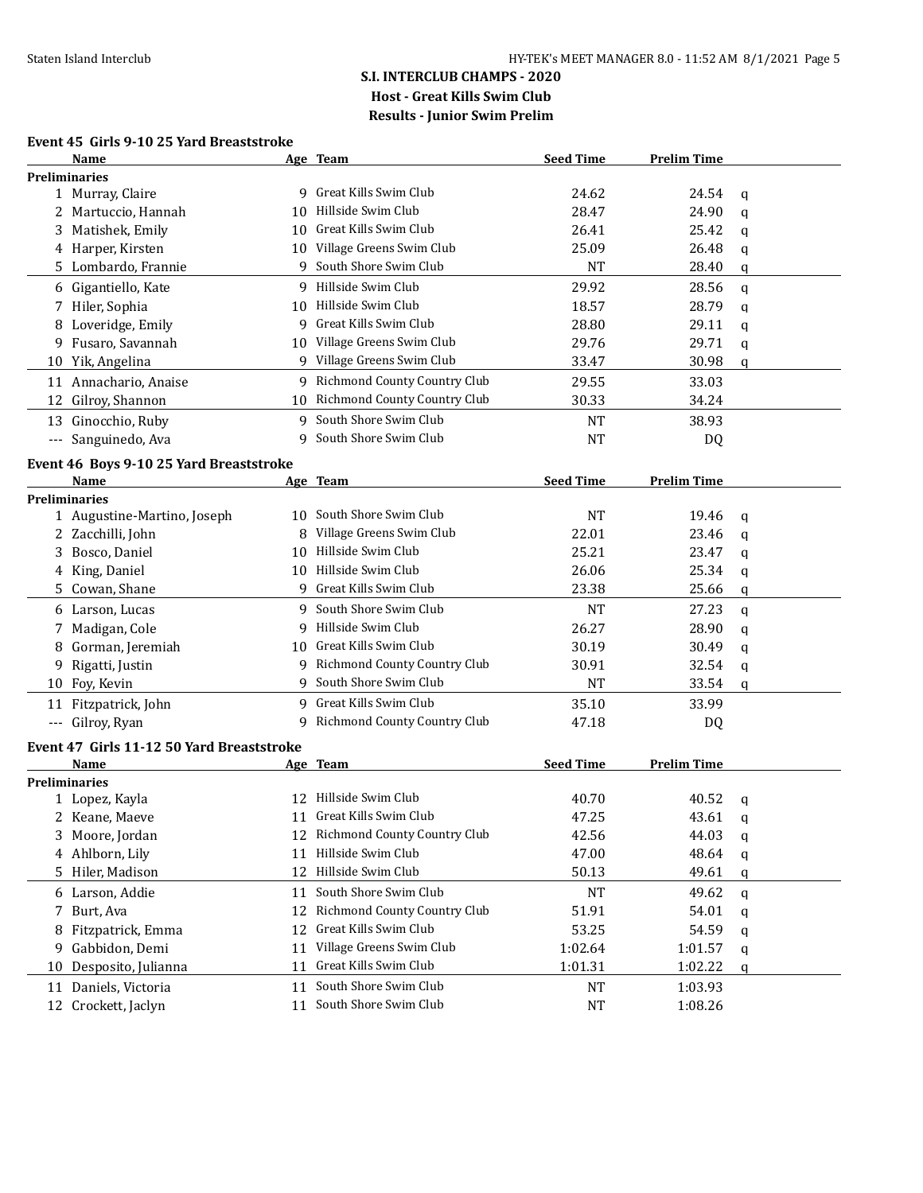#### **Event 45 Girls 9-10 25 Yard Breaststroke**

|    | <b>Name</b>                               |    | <u>Age Team</u>                     | <b>Seed Time</b> | <b>Prelim Time</b> |             |  |
|----|-------------------------------------------|----|-------------------------------------|------------------|--------------------|-------------|--|
|    | <b>Preliminaries</b>                      |    |                                     |                  |                    |             |  |
|    | 1 Murray, Claire                          |    | 9 Great Kills Swim Club             | 24.62            | 24.54              | q           |  |
|    | 2 Martuccio, Hannah                       |    | 10 Hillside Swim Club               | 28.47            | 24.90              | q           |  |
|    | 3 Matishek, Emily                         |    | 10 Great Kills Swim Club            | 26.41            | 25.42              | q           |  |
|    | 4 Harper, Kirsten                         |    | 10 Village Greens Swim Club         | 25.09            | 26.48              | q           |  |
|    | 5 Lombardo, Frannie                       |    | 9 South Shore Swim Club             | <b>NT</b>        | 28.40              | q           |  |
|    | 6 Gigantiello, Kate                       |    | 9 Hillside Swim Club                | 29.92            | 28.56              |             |  |
|    |                                           |    | 10 Hillside Swim Club               |                  |                    | $\mathbf q$ |  |
|    | 7 Hiler, Sophia                           |    | 9 Great Kills Swim Club             | 18.57            | 28.79              | $\mathbf q$ |  |
| 8  | Loveridge, Emily                          |    |                                     | 28.80            | 29.11              | q           |  |
| 9. | Fusaro, Savannah                          |    | 10 Village Greens Swim Club         | 29.76            | 29.71              | q           |  |
|    | 10 Yik, Angelina                          |    | 9 Village Greens Swim Club          | 33.47            | 30.98              | q           |  |
|    | 11 Annachario, Anaise                     |    | 9 Richmond County Country Club      | 29.55            | 33.03              |             |  |
| 12 | Gilroy, Shannon                           |    | 10 Richmond County Country Club     | 30.33            | 34.24              |             |  |
|    | 13 Ginocchio, Ruby                        |    | 9 South Shore Swim Club             | <b>NT</b>        | 38.93              |             |  |
|    | --- Sanguinedo, Ava                       | 9  | South Shore Swim Club               | <b>NT</b>        | DQ                 |             |  |
|    | Event 46 Boys 9-10 25 Yard Breaststroke   |    |                                     |                  |                    |             |  |
|    | Name                                      |    | Age Team                            | <b>Seed Time</b> | <b>Prelim Time</b> |             |  |
|    | <b>Preliminaries</b>                      |    |                                     |                  |                    |             |  |
|    | 1 Augustine-Martino, Joseph               |    | 10 South Shore Swim Club            | <b>NT</b>        | 19.46              | $\mathbf q$ |  |
|    | 2 Zacchilli, John                         |    | Village Greens Swim Club            | 22.01            | 23.46              | q           |  |
| 3  | Bosco, Daniel                             |    | 10 Hillside Swim Club               | 25.21            | 23.47              | q           |  |
|    | 4 King, Daniel                            |    | 10 Hillside Swim Club               | 26.06            | 25.34              | q           |  |
|    | 5 Cowan, Shane                            | 9  | Great Kills Swim Club               | 23.38            | 25.66              | q           |  |
|    | 6 Larson, Lucas                           |    | 9 South Shore Swim Club             | <b>NT</b>        | 27.23              | q           |  |
| 7  | Madigan, Cole                             |    | 9 Hillside Swim Club                | 26.27            | 28.90              | q           |  |
| 8  | Gorman, Jeremiah                          |    | 10 Great Kills Swim Club            | 30.19            | 30.49              | q           |  |
| 9  | Rigatti, Justin                           |    | 9 Richmond County Country Club      | 30.91            | 32.54              | q           |  |
| 10 | Foy, Kevin                                |    | 9 South Shore Swim Club             | <b>NT</b>        | 33.54              | q           |  |
|    | 11 Fitzpatrick, John                      |    | 9 Great Kills Swim Club             | 35.10            | 33.99              |             |  |
|    | --- Gilroy, Ryan                          |    | 9 Richmond County Country Club      | 47.18            | DQ                 |             |  |
|    |                                           |    |                                     |                  |                    |             |  |
|    | Event 47 Girls 11-12 50 Yard Breaststroke |    |                                     |                  |                    |             |  |
|    | Name                                      |    | Age Team                            | <b>Seed Time</b> | <b>Prelim Time</b> |             |  |
|    | <b>Preliminaries</b><br>1 Lopez, Kayla    |    | 12 Hillside Swim Club               | 40.70            | 40.52              |             |  |
|    |                                           |    | Great Kills Swim Club               |                  |                    | q           |  |
|    | 2 Keane, Maeve                            | 11 | 12 Richmond County Country Club     | 47.25            | 43.61              | q           |  |
|    | 3 Moore, Jordan                           |    | Hillside Swim Club                  | 42.56            | 44.03              | q           |  |
|    | 4 Ahlborn, Lily                           | 11 | Hillside Swim Club                  | 47.00            | 48.64              | q           |  |
|    | 5 Hiler, Madison                          | 12 |                                     | 50.13            | 49.61              | q           |  |
|    | 6 Larson, Addie                           | 11 | South Shore Swim Club               | NT               | 49.62              | $\mathbf q$ |  |
| 7  | Burt, Ava                                 | 12 | <b>Richmond County Country Club</b> | 51.91            | 54.01              | q           |  |
| 8  | Fitzpatrick, Emma                         | 12 | Great Kills Swim Club               | 53.25            | 54.59              | q           |  |
| 9  | Gabbidon, Demi                            | 11 | Village Greens Swim Club            | 1:02.64          | 1:01.57            | q           |  |
| 10 | Desposito, Julianna                       | 11 | Great Kills Swim Club               | 1:01.31          | 1:02.22            | q           |  |
|    | 11 Daniels, Victoria                      | 11 | South Shore Swim Club               | NT               | 1:03.93            |             |  |
|    | 12 Crockett, Jaclyn                       | 11 | South Shore Swim Club               | <b>NT</b>        | 1:08.26            |             |  |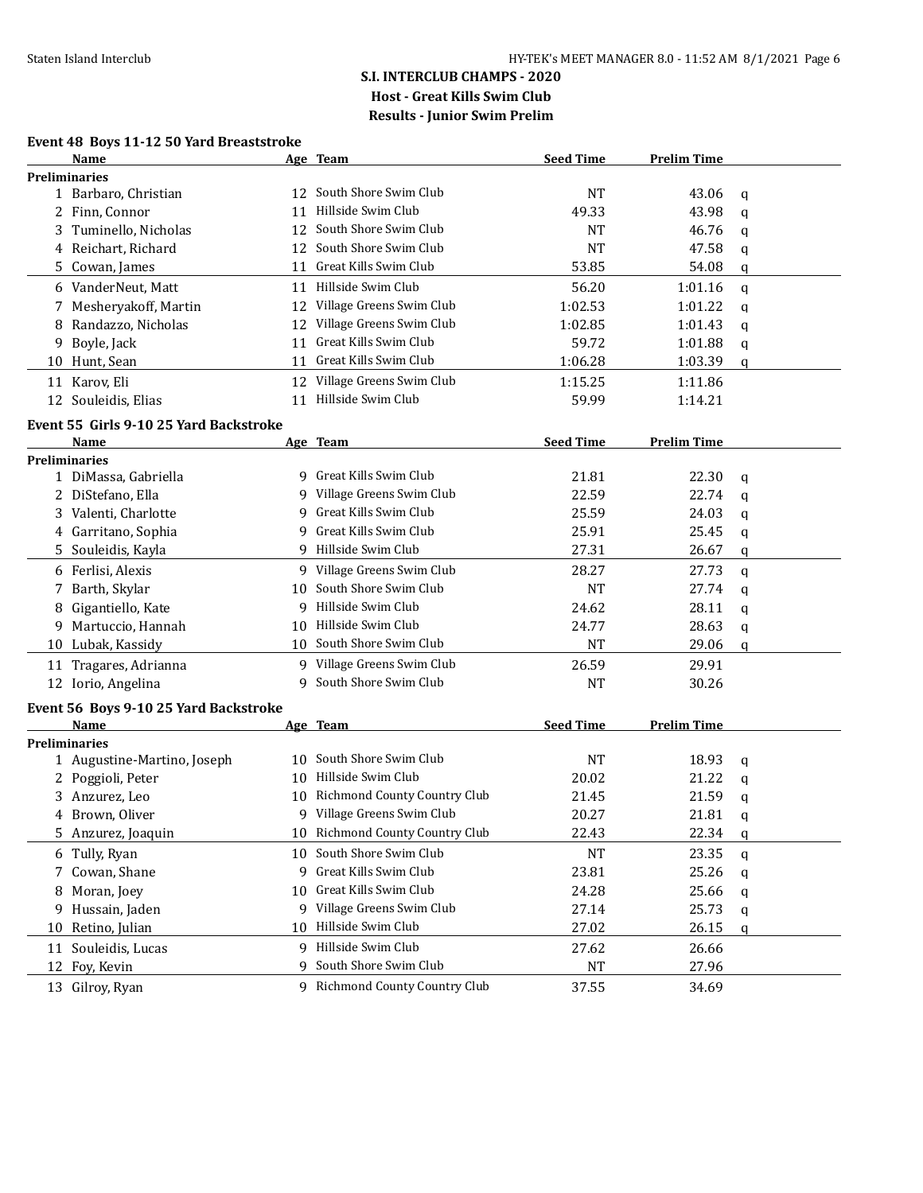#### **Event 48 Boys 11-12 50 Yard Breaststroke**

|    | Name                                   |    | Age Team                        | <b>Seed Time</b> | <b>Prelim Time</b> |             |
|----|----------------------------------------|----|---------------------------------|------------------|--------------------|-------------|
|    | <b>Preliminaries</b>                   |    |                                 |                  |                    |             |
|    | 1 Barbaro, Christian                   |    | 12 South Shore Swim Club        | <b>NT</b>        | 43.06              | q           |
|    | 2 Finn, Connor                         |    | 11 Hillside Swim Club           | 49.33            | 43.98              | $\mathbf q$ |
|    | 3 Tuminello, Nicholas                  |    | 12 South Shore Swim Club        | <b>NT</b>        | 46.76              | q           |
|    | 4 Reichart, Richard                    |    | 12 South Shore Swim Club        | <b>NT</b>        | 47.58              | q           |
|    | 5 Cowan, James                         | 11 | Great Kills Swim Club           | 53.85            | 54.08              | q           |
|    | 6 VanderNeut, Matt                     |    | 11 Hillside Swim Club           | 56.20            | 1:01.16            | $\mathbf q$ |
|    | 7 Mesheryakoff, Martin                 | 12 | Village Greens Swim Club        | 1:02.53          | 1:01.22            | q           |
|    | 8 Randazzo, Nicholas                   | 12 | Village Greens Swim Club        | 1:02.85          | 1:01.43            | q           |
|    | 9 Boyle, Jack                          | 11 | Great Kills Swim Club           | 59.72            | 1:01.88            | q           |
|    | 10 Hunt, Sean                          |    | 11 Great Kills Swim Club        | 1:06.28          | 1:03.39            | q           |
|    | 11 Karov, Eli                          |    | 12 Village Greens Swim Club     | 1:15.25          | 1:11.86            |             |
|    | 12 Souleidis, Elias                    |    | 11 Hillside Swim Club           | 59.99            | 1:14.21            |             |
|    | Event 55 Girls 9-10 25 Yard Backstroke |    |                                 |                  |                    |             |
|    | Name                                   |    | Age Team                        | <b>Seed Time</b> | <b>Prelim Time</b> |             |
|    | <b>Preliminaries</b>                   |    |                                 |                  |                    |             |
|    | 1 DiMassa, Gabriella                   |    | 9 Great Kills Swim Club         | 21.81            | 22.30              | q           |
|    | 2 DiStefano, Ella                      |    | 9 Village Greens Swim Club      | 22.59            | 22.74              | $\mathbf q$ |
|    | 3 Valenti, Charlotte                   | 9  | Great Kills Swim Club           | 25.59            | 24.03              | q           |
|    | 4 Garritano, Sophia                    |    | 9 Great Kills Swim Club         | 25.91            | 25.45              | q           |
|    | 5 Souleidis, Kayla                     |    | 9 Hillside Swim Club            | 27.31            | 26.67              | q           |
|    | 6 Ferlisi, Alexis                      |    | 9 Village Greens Swim Club      | 28.27            | 27.73              | q           |
| 7  | Barth, Skylar                          | 10 | South Shore Swim Club           | <b>NT</b>        | 27.74              | q           |
| 8  | Gigantiello, Kate                      | 9  | Hillside Swim Club              | 24.62            | 28.11              | q           |
| 9. | Martuccio, Hannah                      | 10 | Hillside Swim Club              | 24.77            | 28.63              | q           |
|    | 10 Lubak, Kassidy                      |    | 10 South Shore Swim Club        | <b>NT</b>        | 29.06              | q           |
|    | 11 Tragares, Adrianna                  |    | 9 Village Greens Swim Club      | 26.59            | 29.91              |             |
|    | 12 Iorio, Angelina                     |    | 9 South Shore Swim Club         | NT               | 30.26              |             |
|    | Event 56 Boys 9-10 25 Yard Backstroke  |    |                                 |                  |                    |             |
|    | Name                                   |    | Age Team                        | <b>Seed Time</b> | <b>Prelim Time</b> |             |
|    | <b>Preliminaries</b>                   |    |                                 |                  |                    |             |
|    | 1 Augustine-Martino, Joseph            |    | 10 South Shore Swim Club        | <b>NT</b>        | 18.93              | q           |
|    | 2 Poggioli, Peter                      |    | 10 Hillside Swim Club           | 20.02            | 21.22              | q           |
|    | 3 Anzurez, Leo                         |    | 10 Richmond County Country Club | 21.45            | 21.59              | q           |
|    | 4 Brown, Oliver                        |    | 9 Village Greens Swim Club      | 20.27            | 21.81              | q           |
|    | 5 Anzurez, Joaquin                     |    | 10 Richmond County Country Club | 22.43            | 22.34              | q           |
|    | 6 Tully, Ryan                          |    | 10 South Shore Swim Club        | <b>NT</b>        | 23.35              | q           |
| 7  | Cowan, Shane                           |    | 9 Great Kills Swim Club         | 23.81            | 25.26              | q           |
| 8  | Moran, Joey                            | 10 | Great Kills Swim Club           | 24.28            | 25.66              | q           |
| 9  | Hussain, Jaden                         |    | 9 Village Greens Swim Club      | 27.14            | 25.73              | q           |
| 10 | Retino, Julian                         | 10 | Hillside Swim Club              | 27.02            | 26.15              | q           |
|    | 11 Souleidis, Lucas                    |    | 9 Hillside Swim Club            | 27.62            | 26.66              |             |
|    | 12 Foy, Kevin                          | q  | South Shore Swim Club           | <b>NT</b>        | 27.96              |             |
|    | 13 Gilroy, Ryan                        |    | 9 Richmond County Country Club  | 37.55            | 34.69              |             |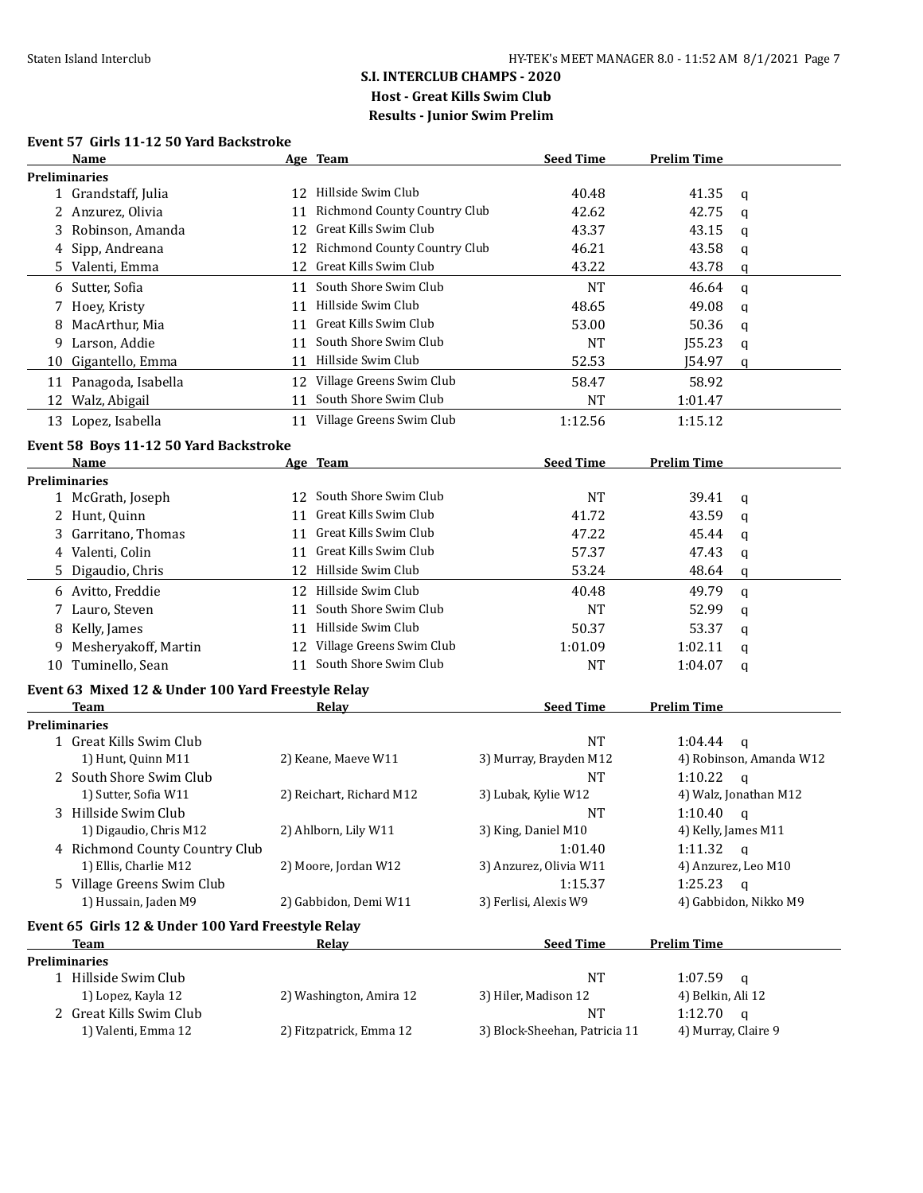#### **Event 57 Girls 11-12 50 Yard Backstroke**

|    | Name                                               |    | Age Team                        | <b>Seed Time</b>                  | <b>Prelim Time</b>  |                         |
|----|----------------------------------------------------|----|---------------------------------|-----------------------------------|---------------------|-------------------------|
|    | <b>Preliminaries</b>                               |    |                                 |                                   |                     |                         |
|    | 1 Grandstaff, Julia                                |    | 12 Hillside Swim Club           | 40.48                             | 41.35               | q                       |
|    | 2 Anzurez, Olivia                                  | 11 | Richmond County Country Club    | 42.62                             | 42.75               | q                       |
|    | 3 Robinson, Amanda                                 |    | 12 Great Kills Swim Club        | 43.37                             | 43.15               | q                       |
|    | 4 Sipp, Andreana                                   |    | 12 Richmond County Country Club | 46.21                             | 43.58               | q                       |
|    | 5 Valenti, Emma                                    |    | 12 Great Kills Swim Club        | 43.22                             | 43.78               | q                       |
|    | 6 Sutter, Sofia                                    | 11 | South Shore Swim Club           | <b>NT</b>                         | 46.64               | $\mathbf{q}$            |
|    | 7 Hoey, Kristy                                     | 11 | Hillside Swim Club              | 48.65                             | 49.08               | $\mathbf q$             |
| 8  | MacArthur, Mia                                     | 11 | Great Kills Swim Club           | 53.00                             | 50.36               | q                       |
|    | 9 Larson, Addie                                    | 11 | South Shore Swim Club           | <b>NT</b>                         | <b>J55.23</b>       | q                       |
|    | 10 Gigantello, Emma                                |    | 11 Hillside Swim Club           | 52.53                             | J54.97              | q                       |
|    | 11 Panagoda, Isabella                              |    | 12 Village Greens Swim Club     | 58.47                             | 58.92               |                         |
| 12 | Walz, Abigail                                      | 11 | South Shore Swim Club           | <b>NT</b>                         | 1:01.47             |                         |
|    | 13 Lopez, Isabella                                 |    | 11 Village Greens Swim Club     | 1:12.56                           | 1:15.12             |                         |
|    |                                                    |    |                                 |                                   |                     |                         |
|    | Event 58 Boys 11-12 50 Yard Backstroke             |    |                                 | <b>Seed Time</b>                  |                     |                         |
|    | Name<br><b>Preliminaries</b>                       |    | Age Team                        |                                   | <b>Prelim Time</b>  |                         |
|    | 1 McGrath, Joseph                                  |    | 12 South Shore Swim Club        | <b>NT</b>                         | 39.41               | q                       |
|    | 2 Hunt, Quinn                                      | 11 | Great Kills Swim Club           | 41.72                             | 43.59               |                         |
|    | 3 Garritano, Thomas                                |    | 11 Great Kills Swim Club        | 47.22                             | 45.44               | q                       |
|    | 4 Valenti, Colin                                   | 11 | Great Kills Swim Club           | 57.37                             | 47.43               | q                       |
|    |                                                    |    | 12 Hillside Swim Club           | 53.24                             |                     | q                       |
|    | 5 Digaudio, Chris                                  |    |                                 |                                   | 48.64               | q                       |
|    | 6 Avitto, Freddie                                  |    | 12 Hillside Swim Club           | 40.48                             | 49.79               | $\mathbf q$             |
|    | 7 Lauro, Steven                                    | 11 | South Shore Swim Club           | <b>NT</b>                         | 52.99               | q                       |
|    | 8 Kelly, James                                     | 11 | Hillside Swim Club              | 50.37                             | 53.37               | $\mathbf q$             |
| 9  | Mesheryakoff, Martin                               |    | 12 Village Greens Swim Club     | 1:01.09                           | 1:02.11             | q                       |
|    | 10 Tuminello, Sean                                 | 11 | South Shore Swim Club           | <b>NT</b>                         | 1:04.07             | q                       |
|    | Event 63 Mixed 12 & Under 100 Yard Freestyle Relay |    |                                 |                                   |                     |                         |
|    | Team                                               |    | <u>Relav</u>                    | <b>Seed Time</b>                  | <b>Prelim Time</b>  |                         |
|    | <b>Preliminaries</b>                               |    |                                 |                                   |                     |                         |
|    | 1 Great Kills Swim Club                            |    |                                 | <b>NT</b>                         | 1:04.44             | $\mathsf{q}$            |
|    | 1) Hunt, Quinn M11                                 |    | 2) Keane, Maeve W11             | 3) Murray, Brayden M12            |                     | 4) Robinson, Amanda W12 |
|    | 2 South Shore Swim Club                            |    |                                 | <b>NT</b>                         | 1:10.22             | $\mathsf{q}$            |
|    | 1) Sutter, Sofia W11                               |    | 2) Reichart, Richard M12        | 3) Lubak, Kylie W12               |                     | 4) Walz, Jonathan M12   |
|    | 3 Hillside Swim Club                               |    |                                 | NT                                | 1:10.40             | $\mathbf{q}$            |
|    | 1) Digaudio, Chris M12                             |    | 2) Ahlborn, Lily W11            | 3) King, Daniel M10               | 4) Kelly, James M11 |                         |
|    | 4 Richmond County Country Club                     |    |                                 | 1:01.40                           | 1:11.32 $q$         |                         |
|    | 1) Ellis, Charlie M12                              |    | 2) Moore, Jordan W12            | 3) Anzurez, Olivia W11            | 4) Anzurez, Leo M10 |                         |
|    | 5 Village Greens Swim Club                         |    |                                 | 1:15.37                           | 1:25.23             | $\mathbf{q}$            |
|    | 1) Hussain, Jaden M9                               |    | 2) Gabbidon, Demi W11           | 3) Ferlisi, Alexis W9             |                     | 4) Gabbidon, Nikko M9   |
|    | Event 65 Girls 12 & Under 100 Yard Freestyle Relay |    |                                 |                                   |                     |                         |
|    | <b>Team</b>                                        |    | Relay                           | <b>Seed Time</b>                  | <b>Prelim Time</b>  |                         |
|    | <b>Preliminaries</b><br>1 Hillside Swim Club       |    |                                 | NT                                | 1:07.59             |                         |
|    | 1) Lopez, Kayla 12                                 |    | 2) Washington, Amira 12         |                                   | 4) Belkin, Ali 12   | $\mathsf{q}$            |
|    | 2 Great Kills Swim Club                            |    |                                 | 3) Hiler, Madison 12<br><b>NT</b> | 1:12.70             |                         |
|    | 1) Valenti, Emma 12                                |    | 2) Fitzpatrick, Emma 12         | 3) Block-Sheehan, Patricia 11     | 4) Murray, Claire 9 | $\mathsf{q}$            |
|    |                                                    |    |                                 |                                   |                     |                         |